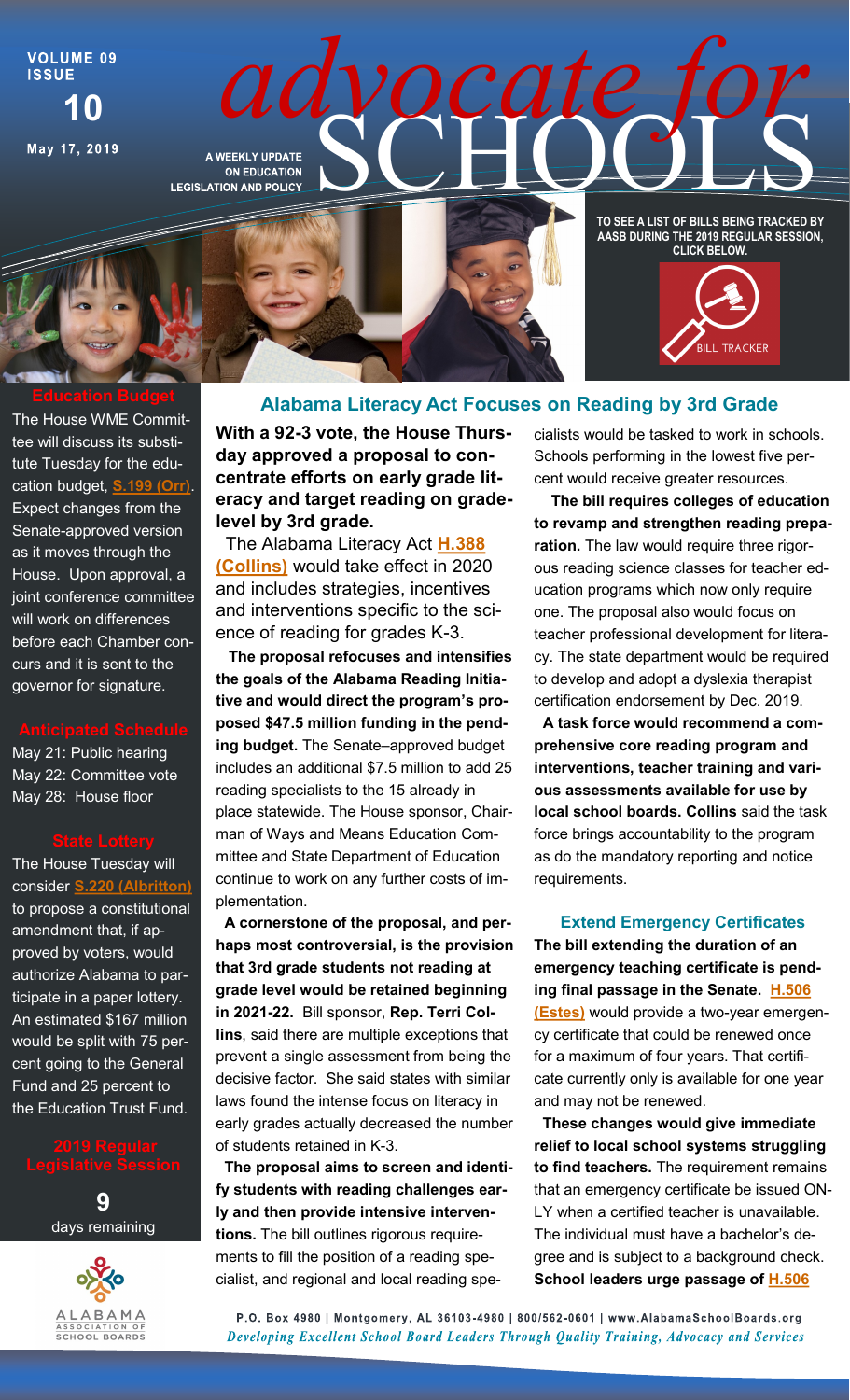**VOLUME 09 ISSUE 10**

May 17, 2019

*adventurate SCHOOLS* 



The House WME Committee will discuss its substitute Tuesday for the education budget, **[S.199 \(Orr\)](http://alisondb.legislature.state.al.us/ALISON/SearchableInstruments/2019RS/PrintFiles/SB199-eng.pdf)**. Expect changes from the Senate-approved version as it moves through the House. Upon approval, a joint conference committee will work on differences before each Chamber concurs and it is sent to the governor for signature.

May 21: Public hearing May 22: Committee vote May 28: House floor

The House Tuesday will consider **S.220 (Albr** to propose a constitutional amendment that, if approved by voters, would authorize Alabama to participate in a paper lottery. An estimated \$167 million would be split with 75 percent going to the General Fund and 25 percent to the Education Trust Fund.

**9** days remaining



**With a 92-3 vote, the House Thursday approved a proposal to concentrate efforts on early grade literacy and target reading on gradelevel by 3rd grade.** 

 The Alabama Literacy Act **[H.388](http://alisondb.legislature.state.al.us/ALISON/SearchableInstruments/2019RS/PrintFiles/HB388-eng.pdf)  [\(Collins\)](http://alisondb.legislature.state.al.us/ALISON/SearchableInstruments/2019RS/PrintFiles/HB388-eng.pdf)** would take effect in 2020 and includes strategies, incentives and interventions specific to the science of reading for grades K-3.

 **The proposal refocuses and intensifies the goals of the Alabama Reading Initiative and would direct the program's proposed \$47.5 million funding in the pending budget.** The Senate–approved budget includes an additional \$7.5 million to add 25 reading specialists to the 15 already in place statewide. The House sponsor, Chairman of Ways and Means Education Committee and State Department of Education continue to work on any further costs of implementation.

 **A cornerstone of the proposal, and perhaps most controversial, is the provision that 3rd grade students not reading at grade level would be retained beginning in 2021-22.** Bill sponsor, **Rep. Terri Collins**, said there are multiple exceptions that prevent a single assessment from being the decisive factor. She said states with similar laws found the intense focus on literacy in early grades actually decreased the number of students retained in K-3.

 **The proposal aims to screen and identify students with reading challenges early and then provide intensive interventions.** The bill outlines rigorous requirements to fill the position of a reading specialist, and regional and local reading specialists would be tasked to work in schools. Schools performing in the lowest five percent would receive greater resources.

 **The bill requires colleges of education to revamp and strengthen reading preparation.** The law would require three rigorous reading science classes for teacher education programs which now only require one. The proposal also would focus on teacher professional development for literacy. The state department would be required to develop and adopt a dyslexia therapist certification endorsement by Dec. 2019.

 **A task force would recommend a comprehensive core reading program and interventions, teacher training and various assessments available for use by local school boards. Collins** said the task force brings accountability to the program as do the mandatory reporting and notice requirements.

### **Extend Emergency Certificates**

**The bill extending the duration of an emergency teaching certificate is pending final passage in the Senate. [H.506](http://alisondb.legislature.state.al.us/ALISON/SearchableInstruments/2019RS/PrintFiles/201143-2.pdf)  [\(Estes\)](http://alisondb.legislature.state.al.us/ALISON/SearchableInstruments/2019RS/PrintFiles/201143-2.pdf)** would provide a two-year emergency certificate that could be renewed once for a maximum of four years. That certificate currently only is available for one year and may not be renewed.

 **These changes would give immediate relief to local school systems struggling to find teachers.** The requirement remains that an emergency certificate be issued ON-LY when a certified teacher is unavailable. The individual must have a bachelor's degree and is subject to a background check. **School leaders urge passage of [H.506](http://alisondb.legislature.state.al.us/ALISON/SearchableInstruments/2019RS/PrintFiles/201143-2.pdf)** 

P.O. Box 4980 | Montgomery, AL 36103-4980 | 800/562-0601 | www.AlabamaSchoolBoards.org Developing Excellent School Board Leaders Through Quality Training, Advocacy and Services

# **Alabama Literacy Act Focuses on Reading by 3rd Grade**